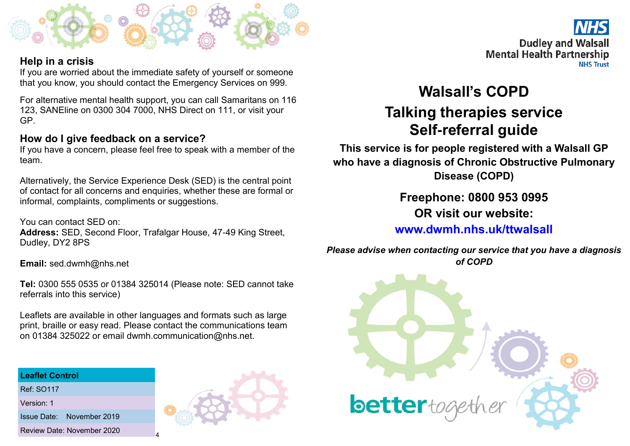

## **Help in a crisis**

If you are worried about the immediate safety of yourself or someone that you know, you should contact the Emergency Services on 999.

 For alternative mental health support, you can call Samaritans on 116 123, SANEline on 0300 304 7000, NHS Direct on 111, or visit your GP.

## **How do I give feedback on a service?**

 If you have a concern, please feel free to speak with a member of the team.

Alternatively, the Service Experience Desk (SED) is the central point of contact for all concerns and enquiries, whether these are formal or informal, complaints, compliments or suggestions.

You can contact SED on: **Address:** SED, Second Floor, Trafalgar House, 47-49 King Street, Dudley, DY2 8PS

**Email:** [sed.dwmh@nhs.net](mailto:sed.dwmh@nhs.net)

 **Tel:** 0300 555 0535 or 01384 325014 (Please note: SED cannot take referrals into this service)

Leaflets are available in other languages and formats such as large print, braille or easy read. Please contact the communications team on 01384 325022 or email [dwmh.communication@nhs.net.](mailto:dwmh.communication@nhs.net)

| <b>Leaflet Control</b>     |  |
|----------------------------|--|
| <b>Ref: SO117</b>          |  |
| Version: 1                 |  |
| Issue Date: November 2019  |  |
| Review Date: November 2020 |  |





# **Walsall's COPD Talking therapies service Self-referral guide**

 **This service is for people registered with a Walsall GP who have a diagnosis of Chronic Obstructive Pulmonary Disease (COPD)**

> **Freephone: 0800 953 0995 OR visit our website:**

**<www.dwmh.nhs.uk/ttwalsall>**

*Please advise when contacting our service that you have a diagnosis of COPD*